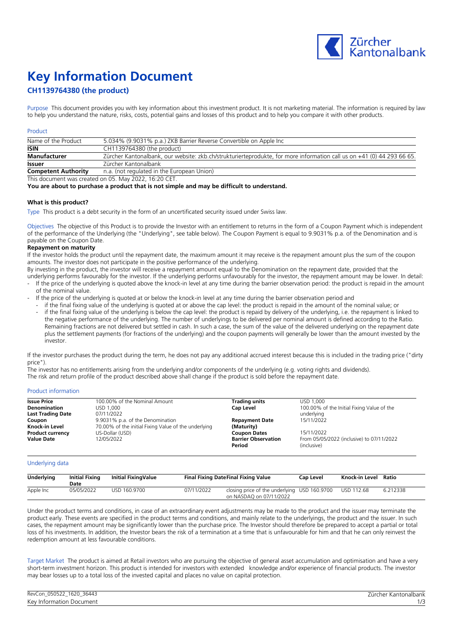

# **Key Information Document**

## **CH1139764380 (the product)**

Purpose This document provides you with key information about this investment product. It is not marketing material. The information is required by law to help you understand the nature, risks, costs, potential gains and losses of this product and to help you compare it with other products.

## Product

| Name of the Product        | 5.034% (9.9031% p.a.) ZKB Barrier Reverse Convertible on Apple Inc                                                     |
|----------------------------|------------------------------------------------------------------------------------------------------------------------|
| <b>ISIN</b>                | CH1139764380 (the product)                                                                                             |
| <b>Manufacturer</b>        | Zürcher Kantonalbank, our website: zkb.ch/strukturierteprodukte, for more information call us on +41 (0) 44 293 66 65. |
| <b>Issuer</b>              | Zürcher Kantonalbank                                                                                                   |
| <b>Competent Authority</b> | n.a. (not regulated in the European Union)                                                                             |

This document was created on 05. May 2022, 16:20 CET.

**You are about to purchase a product that is not simple and may be difficult to understand.**

## **What is this product?**

Type This product is a debt security in the form of an uncertificated security issued under Swiss law.

Objectives The objective of this Product is to provide the Investor with an entitlement to returns in the form of a Coupon Payment which is independent of the performance of the Underlying (the "Underlying", see table below). The Coupon Payment is equal to 9.9031% p.a. of the Denomination and is payable on the Coupon Date.

### **Repayment on maturity**

If the investor holds the product until the repayment date, the maximum amount it may receive is the repayment amount plus the sum of the coupon amounts. The investor does not participate in the positive performance of the underlying.

By investing in the product, the investor will receive a repayment amount equal to the Denomination on the repayment date, provided that the underlying performs favourably for the investor. If the underlying performs unfavourably for the investor, the repayment amount may be lower. In detail:

- If the price of the underlying is quoted above the knock-in level at any time during the barrier observation period: the product is repaid in the amount of the nominal value.
- If the price of the underlying is quoted at or below the knock-in level at any time during the barrier observation period and
	- if the final fixing value of the underlying is quoted at or above the cap level: the product is repaid in the amount of the nominal value; or if the final fixing value of the underlying is below the cap level: the product is repaid by delivery of the underlying, i.e. the repayment is linked to the negative performance of the underlying. The number of underlyings to be delivered per nominal amount is defined according to the Ratio. Remaining fractions are not delivered but settled in cash. In such a case, the sum of the value of the delivered underlying on the repayment date plus the settlement payments (for fractions of the underlying) and the coupon payments will generally be lower than the amount invested by the investor.

If the investor purchases the product during the term, he does not pay any additional accrued interest because this is included in the trading price ("dirty price").

The investor has no entitlements arising from the underlying and/or components of the underlying (e.g. voting rights and dividends).

The risk and return profile of the product described above shall change if the product is sold before the repayment date.

### Product information

| <b>Issue Price</b>       | 100,00% of the Nominal Amount                        | <b>Trading units</b>       | USD 1.000                                  |
|--------------------------|------------------------------------------------------|----------------------------|--------------------------------------------|
| Denomination             | USD 1.000                                            | Cap Level                  | 100.00% of the Initial Fixing Value of the |
| <b>Last Trading Date</b> | 07/11/2022                                           |                            | underlying                                 |
| Coupon                   | 9.9031% p.a. of the Denomination                     | <b>Repayment Date</b>      | 15/11/2022                                 |
| Knock-in Level           | 70.00% of the initial Fixing Value of the underlying | (Maturity)                 |                                            |
| <b>Product currency</b>  | US-Dollar (USD)                                      | <b>Coupon Dates</b>        | 15/11/2022                                 |
| <b>Value Date</b>        | 12/05/2022                                           | <b>Barrier Observation</b> | From 05/05/2022 (inclusive) to 07/11/2022  |
|                          |                                                      | Period                     | (inclusive)                                |

### Underlying data

| Underlying | <b>Initial Fixing</b><br>Date | Initial FixingValue |            | <b>Final Fixing DateFinal Fixing Value</b>                              | <b>Cap Level</b> | Knock-in Level | Ratio    |
|------------|-------------------------------|---------------------|------------|-------------------------------------------------------------------------|------------------|----------------|----------|
| Apple Inc  | 05/05/2022                    | USD 160.9700        | 07/11/2022 | closing price of the underlying USD 160.9700<br>on NASDAQ on 07/11/2022 |                  | USD 112.68     | 6.212338 |

Under the product terms and conditions, in case of an extraordinary event adjustments may be made to the product and the issuer may terminate the product early. These events are specified in the product terms and conditions, and mainly relate to the underlyings, the product and the issuer. In such cases, the repayment amount may be significantly lower than the purchase price. The Investor should therefore be prepared to accept a partial or total loss of his investments. In addition, the Investor bears the risk of a termination at a time that is unfavourable for him and that he can only reinvest the redemption amount at less favourable conditions.

Target Market The product is aimed at Retail investors who are pursuing the objective of general asset accumulation and optimisation and have a very short-term investment horizon. This product is intended for investors with extended knowledge and/or experience of financial products. The investor may bear losses up to a total loss of the invested capital and places no value on capital protection.

| RevCon_050522_1620_36443 | $- \cdot$<br><sup>.</sup> Kantonalbank<br>_urcher : |
|--------------------------|-----------------------------------------------------|
| Key Information Document |                                                     |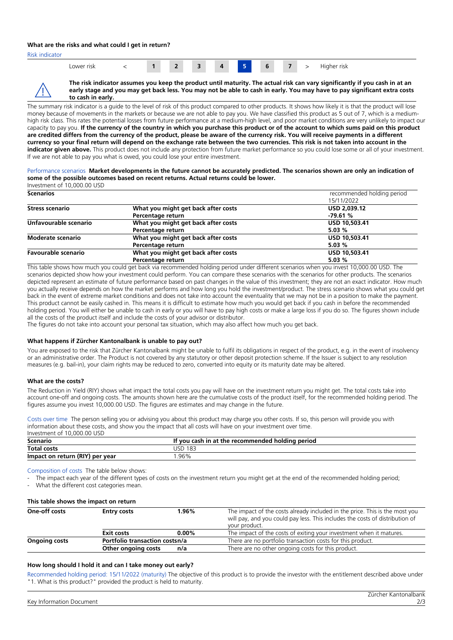## **What are the risks and what could I get in return?**

Risk indicator

| Lower risk<br>____ |  |  |  |  | л | -<br>œ |  |  |  | .<br>Higher risk |
|--------------------|--|--|--|--|---|--------|--|--|--|------------------|
|--------------------|--|--|--|--|---|--------|--|--|--|------------------|



**The risk indicator assumes you keep the product until maturity. The actual risk can vary significantly if you cash in at an early stage and you may get back less. You may not be able to cash in early. You may have to pay significant extra costs to cash in early.** 

The summary risk indicator is a quide to the level of risk of this product compared to other products. It shows how likely it is that the product will lose money because of movements in the markets or because we are not able to pay you. We have classified this product as 5 out of 7, which is a mediumhigh risk class. This rates the potential losses from future performance at a medium-high level, and poor market conditions are very unlikely to impact our capacity to pay you. **If the currency of the country in which you purchase this product or of the account to which sums paid on this product are credited differs from the currency of the product, please be aware of the currency risk. You will receive payments in a different currency so your final return will depend on the exchange rate between the two currencies. This risk is not taken into account in the indicator given above.** This product does not include any protection from future market performance so you could lose some or all of your investment. If we are not able to pay you what is owed, you could lose your entire investment.

#### Performance scenarios **Market developments in the future cannot be accurately predicted. The scenarios shown are only an indication of some of the possible outcomes based on recent returns. Actual returns could be lower.** Investment of 10,000.00 USD

| <b>Scenarios</b>           |                                     | recommended holding period |
|----------------------------|-------------------------------------|----------------------------|
|                            |                                     | 15/11/2022                 |
| <b>Stress scenario</b>     | What you might get back after costs | USD 2,039.12               |
|                            | Percentage return                   | $-79.61%$                  |
| Unfavourable scenario      | What you might get back after costs | USD 10,503.41              |
|                            | Percentage return                   | 5.03%                      |
| <b>Moderate scenario</b>   | What you might get back after costs | USD 10,503.41              |
|                            | Percentage return                   | 5.03%                      |
| <b>Favourable scenario</b> | What you might get back after costs | USD 10,503.41              |
|                            | Percentage return                   | 5.03%                      |

This table shows how much you could get back via recommended holding period under different scenarios when you invest 10,000.00 USD. The scenarios depicted show how your investment could perform. You can compare these scenarios with the scenarios for other products. The scenarios depicted represent an estimate of future performance based on past changes in the value of this investment; they are not an exact indicator. How much you actually receive depends on how the market performs and how long you hold the investment/product. The stress scenario shows what you could get back in the event of extreme market conditions and does not take into account the eventuality that we may not be in a position to make the payment. This product cannot be easily cashed in. This means it is difficult to estimate how much you would get back if you cash in before the recommended holding period. You will either be unable to cash in early or you will have to pay high costs or make a large loss if you do so. The figures shown include all the costs of the product itself and include the costs of your advisor or distributor.

The figures do not take into account your personal tax situation, which may also affect how much you get back.

## **What happens if Zürcher Kantonalbank is unable to pay out?**

You are exposed to the risk that Zürcher Kantonalbank might be unable to fulfil its obligations in respect of the product, e.g. in the event of insolvency or an administrative order. The Product is not covered by any statutory or other deposit protection scheme. If the Issuer is subject to any resolution measures (e.g. bail-in), your claim rights may be reduced to zero, converted into equity or its maturity date may be altered.

### **What are the costs?**

The Reduction in Yield (RIY) shows what impact the total costs you pay will have on the investment return you might get. The total costs take into account one-off and ongoing costs. The amounts shown here are the cumulative costs of the product itself, for the recommended holding period. The figures assume you invest 10,000.00 USD. The figures are estimates and may change in the future.

Costs over time The person selling you or advising you about this product may charge you other costs. If so, this person will provide you with information about these costs, and show you the impact that all costs will have on your investment over time. Investment of 10,000.00 USD

| Scenario                        | If you cash in at the recommended holding period |
|---------------------------------|--------------------------------------------------|
| <b>Total costs</b>              | 183<br>JSC                                       |
| Impact on return (RIY) per year | .96%                                             |

Composition of costs The table below shows:

The impact each year of the different types of costs on the investment return you might get at the end of the recommended holding period;

What the different cost categories mean.

| This table shows the impact on return        |                                |          |                                                                                                                                                                              |  |  |  |  |
|----------------------------------------------|--------------------------------|----------|------------------------------------------------------------------------------------------------------------------------------------------------------------------------------|--|--|--|--|
| One-off costs<br>1.96%<br><b>Entry costs</b> |                                |          | The impact of the costs already included in the price. This is the most you<br>will pay, and you could pay less. This includes the costs of distribution of<br>your product. |  |  |  |  |
|                                              | <b>Exit costs</b>              | $0.00\%$ | The impact of the costs of exiting your investment when it matures.                                                                                                          |  |  |  |  |
| <b>Ongoing costs</b>                         | Portfolio transaction costsn/a |          | There are no portfolio transaction costs for this product.                                                                                                                   |  |  |  |  |
|                                              | Other ongoing costs            | n/a      | There are no other ongoing costs for this product.                                                                                                                           |  |  |  |  |

### **How long should I hold it and can I take money out early?**

Recommended holding period: 15/11/2022 (maturity) The objective of this product is to provide the investor with the entitlement described above under "1. What is this product?" provided the product is held to maturity.